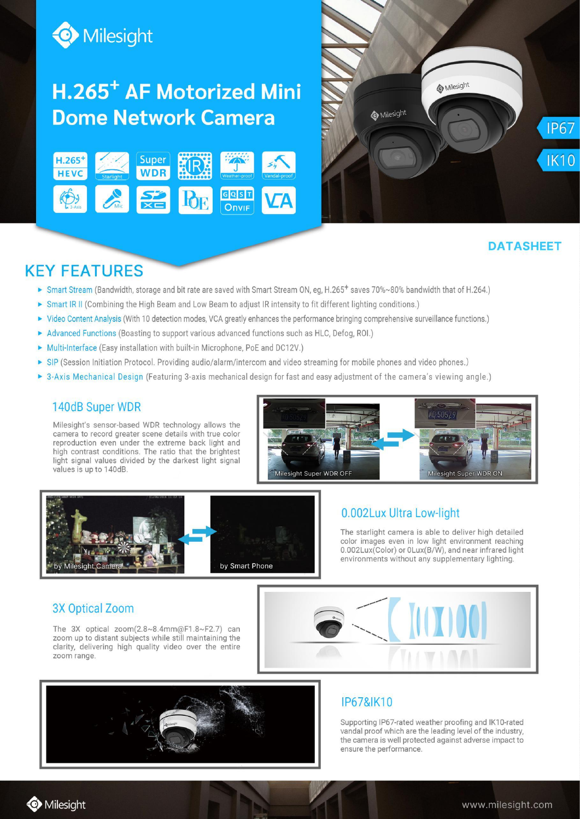

# H.265<sup>+</sup> AF Motorized Mini **Dome Network Camera**





# **DATASHEET**

# **KEY FEATURES**

- ► Smart Stream (Bandwidth, storage and bit rate are saved with Smart Stream ON, eg, H.265<sup>+</sup> saves 70%~80% bandwidth that of H.264.)
- Smart IR II (Combining the High Beam and Low Beam to adjust IR intensity to fit different lighting conditions.)
- ▶ Video Content Analysis (With 10 detection modes, VCA greatly enhances the performance bringing comprehensive surveillance functions.)
- Advanced Functions (Boasting to support various advanced functions such as HLC, Defog, ROI.)
- Multi-Interface (Easy installation with built-in Microphone, PoE and DC12V.)
- ▶ SIP (Session Initiation Protocol. Providing audio/alarm/intercom and video streaming for mobile phones and video phones.)
- > 3-Axis Mechanical Design (Featuring 3-axis mechanical design for fast and easy adjustment of the camera's viewing angle.)

#### 140dB Super WDR

Milesight's sensor-based WDR technology allows the camera to record greater scene details with true color reproduction even under the extreme back light and high contrast conditions. The ratio that the brightest light signal values divided by the darkest light signal values is up to 140dB.





#### 0.002Lux Ultra Low-light

The starlight camera is able to deliver high detailed color images even in low light environment reaching 0.002Lux(Color) or 0Lux(B/W), and near infrared light environments without any supplementary lighting.

#### **3X Optical Zoom**

The 3X optical zoom(2.8~8.4mm@F1.8~F2.7) can zoom up to distant subjects while still maintaining the clarity, delivering high quality video over the entire zoom range.





## **IP67&IK10**

Supporting IP67-rated weather proofing and IK10-rated vandal proof which are the leading level of the industry, the camera is well protected against adverse impact to ensure the performance.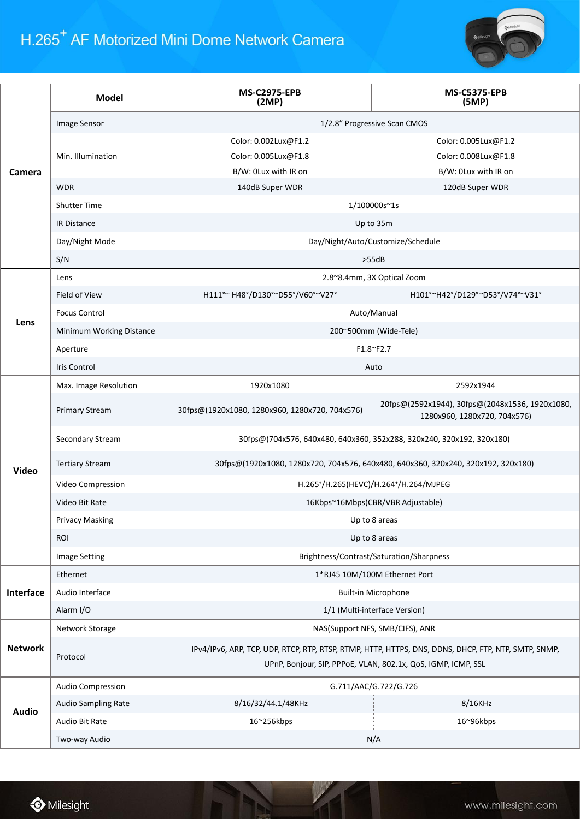# H.265<sup>+</sup> AF Motorized Mini Dome Network Camera



|                | <b>Model</b>               | <b>MS-C2975-EPB</b><br>(2MP)                                                                                                                                          | <b>MS-C5375-EPB</b><br>(SMP)                                                    |  |
|----------------|----------------------------|-----------------------------------------------------------------------------------------------------------------------------------------------------------------------|---------------------------------------------------------------------------------|--|
|                | Image Sensor               | 1/2.8" Progressive Scan CMOS                                                                                                                                          |                                                                                 |  |
|                |                            | Color: 0.002Lux@F1.2                                                                                                                                                  | Color: 0.005Lux@F1.2                                                            |  |
| Camera         | Min. Illumination          | Color: 0.005Lux@F1.8                                                                                                                                                  | Color: 0.008Lux@F1.8                                                            |  |
|                |                            | B/W: OLux with IR on                                                                                                                                                  | B/W: 0Lux with IR on                                                            |  |
|                | <b>WDR</b>                 | 140dB Super WDR                                                                                                                                                       | 120dB Super WDR                                                                 |  |
|                | <b>Shutter Time</b>        | 1/100000s~1s                                                                                                                                                          |                                                                                 |  |
|                | IR Distance                | Up to 35m                                                                                                                                                             |                                                                                 |  |
|                | Day/Night Mode             | Day/Night/Auto/Customize/Schedule                                                                                                                                     |                                                                                 |  |
|                | S/N                        |                                                                                                                                                                       | >55dB                                                                           |  |
|                | Lens                       |                                                                                                                                                                       | 2.8~8.4mm, 3X Optical Zoom                                                      |  |
|                | Field of View              | H111°~ H48°/D130°~D55°/V60°~V27°                                                                                                                                      | H101°~H42°/D129°~D53°/V74°~V31°                                                 |  |
| Lens           | <b>Focus Control</b>       | Auto/Manual                                                                                                                                                           |                                                                                 |  |
|                | Minimum Working Distance   | 200~500mm (Wide-Tele)                                                                                                                                                 |                                                                                 |  |
|                | Aperture                   | F1.8~F2.7                                                                                                                                                             |                                                                                 |  |
|                | <b>Iris Control</b>        | Auto                                                                                                                                                                  |                                                                                 |  |
|                | Max. Image Resolution      | 1920x1080                                                                                                                                                             | 2592x1944                                                                       |  |
|                | <b>Primary Stream</b>      | 30fps@(1920x1080, 1280x960, 1280x720, 704x576)                                                                                                                        | 20fps@(2592x1944), 30fps@(2048x1536, 1920x1080,<br>1280x960, 1280x720, 704x576) |  |
| <b>Video</b>   | Secondary Stream           | 30fps@(704x576, 640x480, 640x360, 352x288, 320x240, 320x192, 320x180)                                                                                                 |                                                                                 |  |
|                | <b>Tertiary Stream</b>     | 30fps@(1920x1080, 1280x720, 704x576, 640x480, 640x360, 320x240, 320x192, 320x180)                                                                                     |                                                                                 |  |
|                | Video Compression          | H.265+/H.265(HEVC)/H.264+/H.264/MJPEG                                                                                                                                 |                                                                                 |  |
|                | Video Bit Rate             | 16Kbps~16Mbps(CBR/VBR Adjustable)                                                                                                                                     |                                                                                 |  |
|                | <b>Privacy Masking</b>     | Up to 8 areas                                                                                                                                                         |                                                                                 |  |
|                | <b>ROI</b>                 | Up to 8 areas                                                                                                                                                         |                                                                                 |  |
|                | <b>Image Setting</b>       | Brightness/Contrast/Saturation/Sharpness                                                                                                                              |                                                                                 |  |
|                | Ethernet                   |                                                                                                                                                                       | 1*RJ45 10M/100M Ethernet Port                                                   |  |
| Interface      | Audio Interface            |                                                                                                                                                                       | Built-in Microphone                                                             |  |
|                | Alarm I/O                  |                                                                                                                                                                       | 1/1 (Multi-interface Version)                                                   |  |
|                | Network Storage            |                                                                                                                                                                       | NAS(Support NFS, SMB/CIFS), ANR                                                 |  |
| <b>Network</b> | Protocol                   | IPv4/IPv6, ARP, TCP, UDP, RTCP, RTP, RTSP, RTMP, HTTP, HTTPS, DNS, DDNS, DHCP, FTP, NTP, SMTP, SNMP,<br>UPnP, Bonjour, SIP, PPPoE, VLAN, 802.1x, QoS, IGMP, ICMP, SSL |                                                                                 |  |
|                | Audio Compression          | G.711/AAC/G.722/G.726                                                                                                                                                 |                                                                                 |  |
|                | <b>Audio Sampling Rate</b> | 8/16/32/44.1/48KHz                                                                                                                                                    | 8/16KHz                                                                         |  |
| <b>Audio</b>   | Audio Bit Rate             | 16~256kbps                                                                                                                                                            | 16~96kbps                                                                       |  |
|                | Two-way Audio              |                                                                                                                                                                       | N/A                                                                             |  |

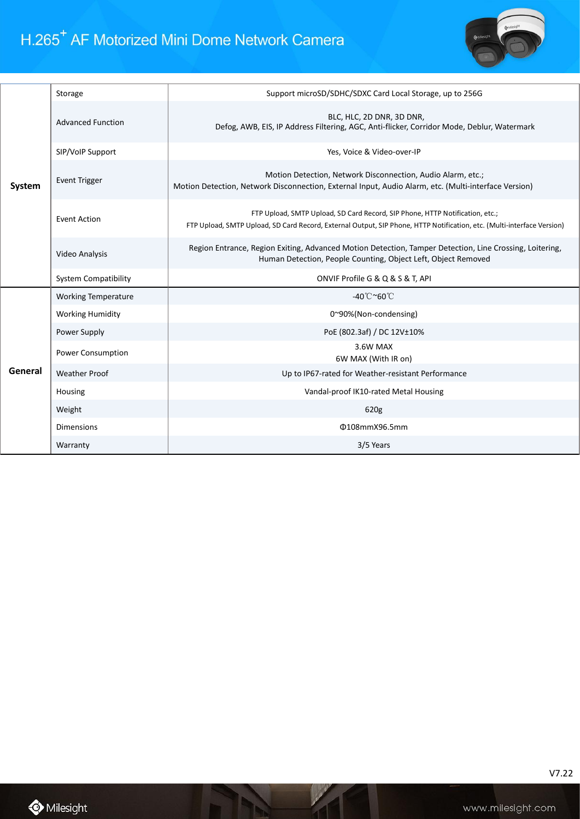

| System  | Storage                     | Support microSD/SDHC/SDXC Card Local Storage, up to 256G                                                                                                                                               |
|---------|-----------------------------|--------------------------------------------------------------------------------------------------------------------------------------------------------------------------------------------------------|
|         | <b>Advanced Function</b>    | BLC, HLC, 2D DNR, 3D DNR,<br>Defog, AWB, EIS, IP Address Filtering, AGC, Anti-flicker, Corridor Mode, Deblur, Watermark                                                                                |
|         | SIP/VoIP Support            | Yes, Voice & Video-over-IP                                                                                                                                                                             |
|         | <b>Event Trigger</b>        | Motion Detection, Network Disconnection, Audio Alarm, etc.;<br>Motion Detection, Network Disconnection, External Input, Audio Alarm, etc. (Multi-interface Version)                                    |
|         | <b>Event Action</b>         | FTP Upload, SMTP Upload, SD Card Record, SIP Phone, HTTP Notification, etc.;<br>FTP Upload, SMTP Upload, SD Card Record, External Output, SIP Phone, HTTP Notification, etc. (Multi-interface Version) |
|         | Video Analysis              | Region Entrance, Region Exiting, Advanced Motion Detection, Tamper Detection, Line Crossing, Loitering,<br>Human Detection, People Counting, Object Left, Object Removed                               |
|         |                             |                                                                                                                                                                                                        |
|         | <b>System Compatibility</b> | ONVIF Profile G & Q & S & T, API                                                                                                                                                                       |
|         | <b>Working Temperature</b>  | -40 $^{\circ}$ C $^{\sim}$ 60 $^{\circ}$ C                                                                                                                                                             |
|         | <b>Working Humidity</b>     | 0~90%(Non-condensing)                                                                                                                                                                                  |
|         | Power Supply                | PoE (802.3af) / DC 12V±10%                                                                                                                                                                             |
|         | Power Consumption           | 3.6W MAX<br>6W MAX (With IR on)                                                                                                                                                                        |
| General | <b>Weather Proof</b>        | Up to IP67-rated for Weather-resistant Performance                                                                                                                                                     |
|         | Housing                     | Vandal-proof IK10-rated Metal Housing                                                                                                                                                                  |
|         | Weight                      | 620g                                                                                                                                                                                                   |
|         | <b>Dimensions</b>           | Φ108mmX96.5mm                                                                                                                                                                                          |